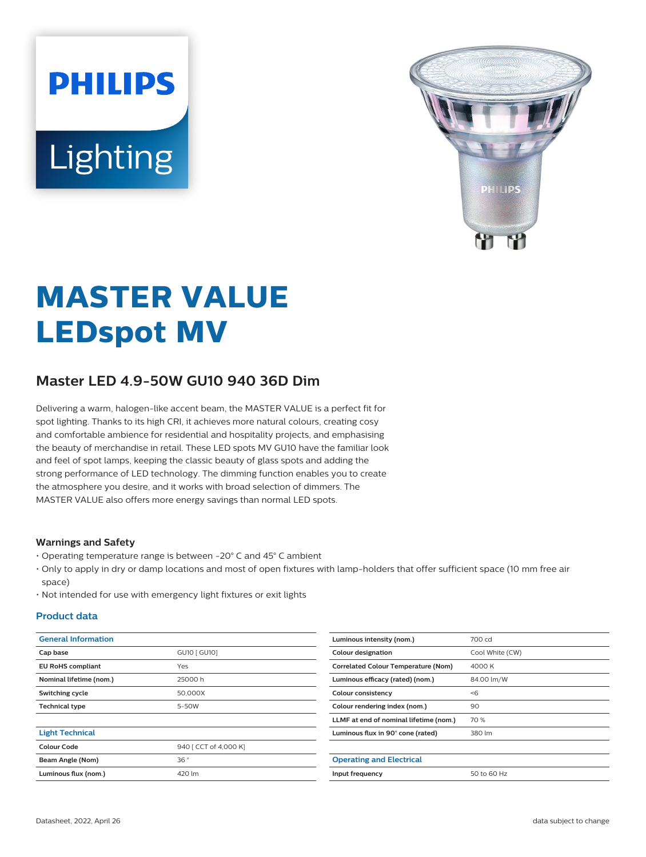# **PHILIPS** Lighting



# **MASTER VALUE LEDspot MV**

# **Master LED 4.9-50W GU10 940 36D Dim**

Delivering a warm, halogen-like accent beam, the MASTER VALUE is a perfect fit for spot lighting. Thanks to its high CRI, it achieves more natural colours, creating cosy and comfortable ambience for residential and hospitality projects, and emphasising the beauty of merchandise in retail. These LED spots MV GU10 have the familiar look and feel of spot lamps, keeping the classic beauty of glass spots and adding the strong performance of LED technology. The dimming function enables you to create the atmosphere you desire, and it works with broad selection of dimmers. The MASTER VALUE also offers more energy savings than normal LED spots.

#### **Warnings and Safety**

- Operating temperature range is between -20° C and 45° C ambient
- Only to apply in dry or damp locations and most of open fixtures with lamp-holders that offer sufficient space (10 mm free air space)
- Not intended for use with emergency light fixtures or exit lights

#### **Product data**

| <b>General Information</b> |                       | Luminous intensity (nom.)                  | 700 cd          |  |
|----------------------------|-----------------------|--------------------------------------------|-----------------|--|
| Cap base                   | GU10 [ GU10]          | <b>Colour designation</b>                  | Cool White (CW) |  |
| <b>EU RoHS compliant</b>   | Yes                   | <b>Correlated Colour Temperature (Nom)</b> | 4000 K          |  |
| Nominal lifetime (nom.)    | 25000h                | Luminous efficacy (rated) (nom.)           | 84.00 lm/W      |  |
| Switching cycle            | 50.000X               | Colour consistency                         | < 6             |  |
| <b>Technical type</b>      | 5-50W                 | Colour rendering index (nom.)              | 90              |  |
|                            |                       | LLMF at end of nominal lifetime (nom.)     | 70 %            |  |
| <b>Light Technical</b>     |                       | Luminous flux in 90° cone (rated)          | 380 lm          |  |
| Colour Code                | 940 [ CCT of 4,000 K] |                                            |                 |  |
| Beam Angle (Nom)           | 36°                   | <b>Operating and Electrical</b>            |                 |  |
| Luminous flux (nom.)       | 420 lm                | Input frequency                            | 50 to 60 Hz     |  |
|                            |                       |                                            |                 |  |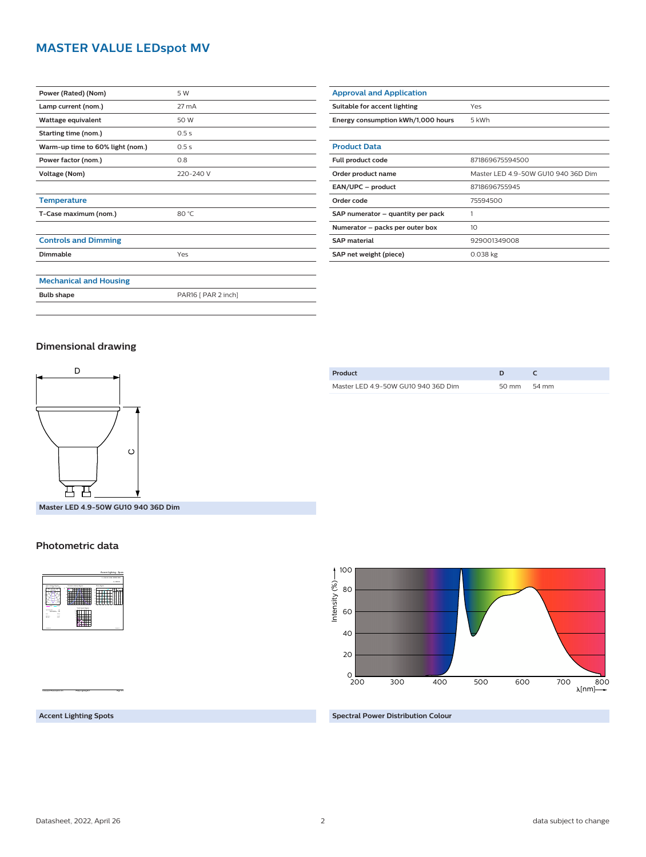### **MASTER VALUE LEDspot MV**

| Power (Rated) (Nom)              | 5 W                 |
|----------------------------------|---------------------|
| Lamp current (nom.)              | 27 mA               |
| Wattage equivalent               | 50 W                |
| Starting time (nom.)             | 0.5s                |
| Warm-up time to 60% light (nom.) | 0.5s                |
| Power factor (nom.)              | 0.8                 |
| Voltage (Nom)                    | 220-240 V           |
|                                  |                     |
| <b>Temperature</b>               |                     |
| T-Case maximum (nom.)            | 80 °C               |
|                                  |                     |
| <b>Controls and Dimming</b>      |                     |
| Dimmable                         | Yes                 |
|                                  |                     |
| <b>Mechanical and Housing</b>    |                     |
| <b>Bulb shape</b>                | PAR16 [ PAR 2 inch] |

| <b>Approval and Application</b>    |                                     |  |
|------------------------------------|-------------------------------------|--|
| Suitable for accent lighting       | Yes                                 |  |
| Energy consumption kWh/1,000 hours | 5 kWh                               |  |
|                                    |                                     |  |
| <b>Product Data</b>                |                                     |  |
| Full product code                  | 871869675594500                     |  |
| Order product name                 | Master LED 4.9-50W GU10 940 36D Dim |  |
| EAN/UPC - product                  | 8718696755945                       |  |
| Order code                         | 75594500                            |  |
| SAP numerator - quantity per pack  | 1                                   |  |
| Numerator - packs per outer box    | 10                                  |  |
| <b>SAP material</b>                | 929001349008                        |  |
| SAP net weight (piece)             | $0.038$ kg                          |  |

#### **Dimensional drawing**



**Master LED 4.9-50W GU10 940 36D Dim**

#### **Photometric data**



| Product                             |       |       |  |
|-------------------------------------|-------|-------|--|
| Master LED 4.9-50W GU10 940 36D Dim | 50 mm | 54 mm |  |



**Accent Lighting Spots**

CalcuLuX Photometrics 4.5 Philips Lighting B.V. Page: 1/1

**Spectral Power Distribution Colour**